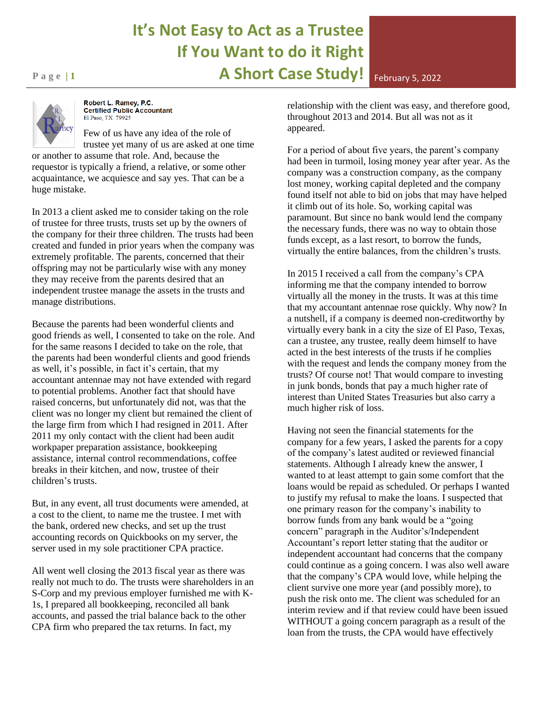## **It's Not Easy to Act as a Trustee If You Want to do it Right Page 11 A Short Case Study!** February 5, 2022



Robert L. Ramey, P.C. **Certified Public Accountant** El Paso, TX 79925

Few of us have any idea of the role of trustee yet many of us are asked at one time

or another to assume that role. And, because the requestor is typically a friend, a relative, or some other acquaintance, we acquiesce and say yes. That can be a huge mistake.

In 2013 a client asked me to consider taking on the role of trustee for three trusts, trusts set up by the owners of the company for their three children. The trusts had been created and funded in prior years when the company was extremely profitable. The parents, concerned that their offspring may not be particularly wise with any money they may receive from the parents desired that an independent trustee manage the assets in the trusts and manage distributions.

Because the parents had been wonderful clients and good friends as well, I consented to take on the role. And for the same reasons I decided to take on the role, that the parents had been wonderful clients and good friends as well, it's possible, in fact it's certain, that my accountant antennae may not have extended with regard to potential problems. Another fact that should have raised concerns, but unfortunately did not, was that the client was no longer my client but remained the client of the large firm from which I had resigned in 2011. After 2011 my only contact with the client had been audit workpaper preparation assistance, bookkeeping assistance, internal control recommendations, coffee breaks in their kitchen, and now, trustee of their children's trusts.

But, in any event, all trust documents were amended, at a cost to the client, to name me the trustee. I met with the bank, ordered new checks, and set up the trust accounting records on Quickbooks on my server, the server used in my sole practitioner CPA practice.

All went well closing the 2013 fiscal year as there was really not much to do. The trusts were shareholders in an S-Corp and my previous employer furnished me with K-1s, I prepared all bookkeeping, reconciled all bank accounts, and passed the trial balance back to the other CPA firm who prepared the tax returns. In fact, my

relationship with the client was easy, and therefore good, throughout 2013 and 2014. But all was not as it appeared.

For a period of about five years, the parent's company had been in turmoil, losing money year after year. As the company was a construction company, as the company lost money, working capital depleted and the company found itself not able to bid on jobs that may have helped it climb out of its hole. So, working capital was paramount. But since no bank would lend the company the necessary funds, there was no way to obtain those funds except, as a last resort, to borrow the funds, virtually the entire balances, from the children's trusts.

In 2015 I received a call from the company's CPA informing me that the company intended to borrow virtually all the money in the trusts. It was at this time that my accountant antennae rose quickly. Why now? In a nutshell, if a company is deemed non-creditworthy by virtually every bank in a city the size of El Paso, Texas, can a trustee, any trustee, really deem himself to have acted in the best interests of the trusts if he complies with the request and lends the company money from the trusts? Of course not! That would compare to investing in junk bonds, bonds that pay a much higher rate of interest than United States Treasuries but also carry a much higher risk of loss.

Having not seen the financial statements for the company for a few years, I asked the parents for a copy of the company's latest audited or reviewed financial statements. Although I already knew the answer, I wanted to at least attempt to gain some comfort that the loans would be repaid as scheduled. Or perhaps I wanted to justify my refusal to make the loans. I suspected that one primary reason for the company's inability to borrow funds from any bank would be a "going concern" paragraph in the Auditor's/Independent Accountant's report letter stating that the auditor or independent accountant had concerns that the company could continue as a going concern. I was also well aware that the company's CPA would love, while helping the client survive one more year (and possibly more), to push the risk onto me. The client was scheduled for an interim review and if that review could have been issued WITHOUT a going concern paragraph as a result of the loan from the trusts, the CPA would have effectively